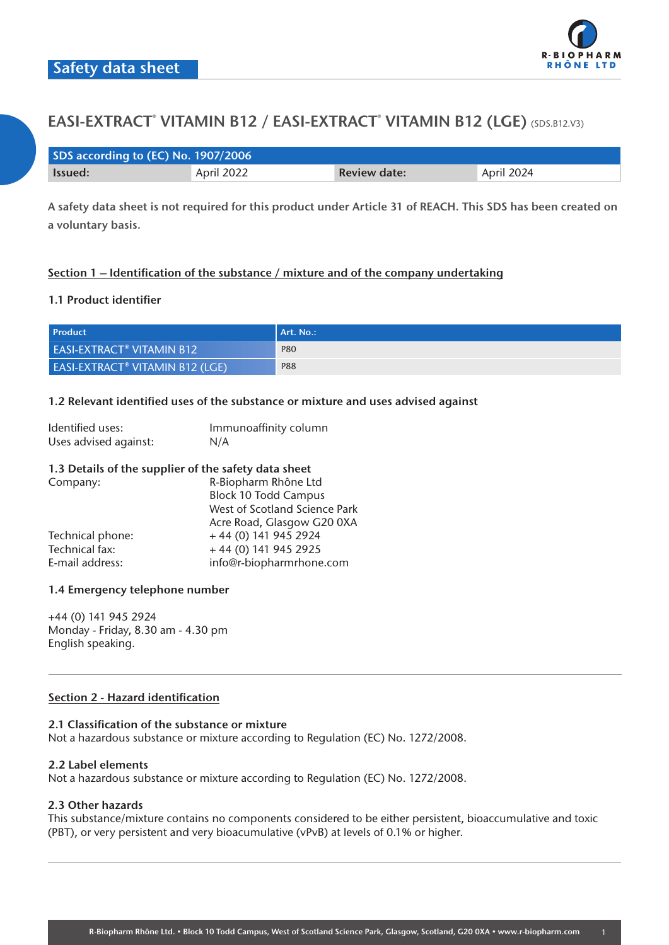

| SDS according to (EC) No. 1907/2006 |            |                     |            |  |
|-------------------------------------|------------|---------------------|------------|--|
| <b>Issued:</b>                      | April 2022 | <b>Review date:</b> | April 2024 |  |

**A safety data sheet is not required for this product under Article 31 of REACH. This SDS has been created on a voluntary basis.**

## **Section 1 – Identification of the substance / mixture and of the company undertaking**

## **1.1 Product identifier**

| <b>Product</b>                                    | l Art. No.: I |
|---------------------------------------------------|---------------|
| <b>EASI-EXTRACT<sup>®</sup> VITAMIN B12</b>       | <b>P80</b>    |
| <b>EASI-EXTRACT<sup>®</sup> VITAMIN B12 (LGE)</b> | P88           |

#### **1.2 Relevant identified uses of the substance or mixture and uses advised against**

| Identified uses:      | Immunoaffinity column |
|-----------------------|-----------------------|
| Uses advised against: | N/A                   |

#### **1.3 Details of the supplier of the safety data sheet** Company: R-Biopharm Rhône Ltd

| Company.         | <b>N-DIUPHAHII NHUHE LUI</b>  |
|------------------|-------------------------------|
|                  | <b>Block 10 Todd Campus</b>   |
|                  | West of Scotland Science Park |
|                  | Acre Road, Glasgow G20 0XA    |
| Technical phone: | $+44(0)$ 141 945 2924         |
| Technical fax:   | $+44(0)$ 141 945 2925         |
| E-mail address:  | info@r-biopharmrhone.com      |
|                  |                               |

## **1.4 Emergency telephone number**

+44 (0) 141 945 2924 Monday - Friday, 8.30 am - 4.30 pm English speaking.

## **Section 2 - Hazard identification**

#### **2.1 Classification of the substance or mixture**

Not a hazardous substance or mixture according to Regulation (EC) No. 1272/2008.

#### **2.2 Label elements**

Not a hazardous substance or mixture according to Regulation (EC) No. 1272/2008.

## **2.3 Other hazards**

This substance/mixture contains no components considered to be either persistent, bioaccumulative and toxic (PBT), or very persistent and very bioacumulative (vPvB) at levels of 0.1% or higher.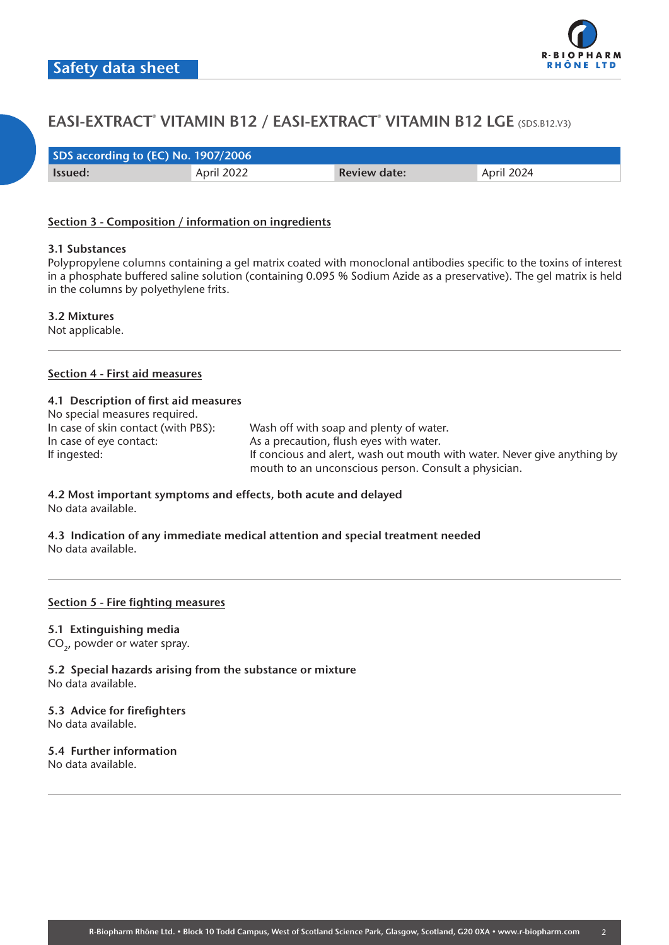

| SDS according to (EC) No. 1907/2006 |            |                     |            |  |
|-------------------------------------|------------|---------------------|------------|--|
| lssued:                             | April 2022 | <b>Review date:</b> | April 2024 |  |

#### **Section 3 - Composition / information on ingredients**

#### **3.1 Substances**

Polypropylene columns containing a gel matrix coated with monoclonal antibodies specific to the toxins of interest in a phosphate buffered saline solution (containing 0.095 % Sodium Azide as a preservative). The gel matrix is held in the columns by polyethylene frits.

**3.2 Mixtures**

Not applicable.

#### **Section 4 - First aid measures**

#### **4.1 Description of first aid measures**

| No special measures required.       |                                                                          |
|-------------------------------------|--------------------------------------------------------------------------|
| In case of skin contact (with PBS): | Wash off with soap and plenty of water.                                  |
| In case of eye contact:             | As a precaution, flush eyes with water.                                  |
| If ingested:                        | If concious and alert, wash out mouth with water. Never give anything by |
|                                     | mouth to an unconscious person. Consult a physician.                     |

#### **4.2 Most important symptoms and effects, both acute and delayed** No data available.

**4.3 Indication of any immediate medical attention and special treatment needed** No data available.

#### **Section 5 - Fire fighting measures**

#### **5.1 Extinguishing media**

CO<sub>2</sub>, powder or water spray.

**5.2 Special hazards arising from the substance or mixture** No data available.

## **5.3 Advice for firefighters**

No data available.

## **5.4 Further information**

No data available.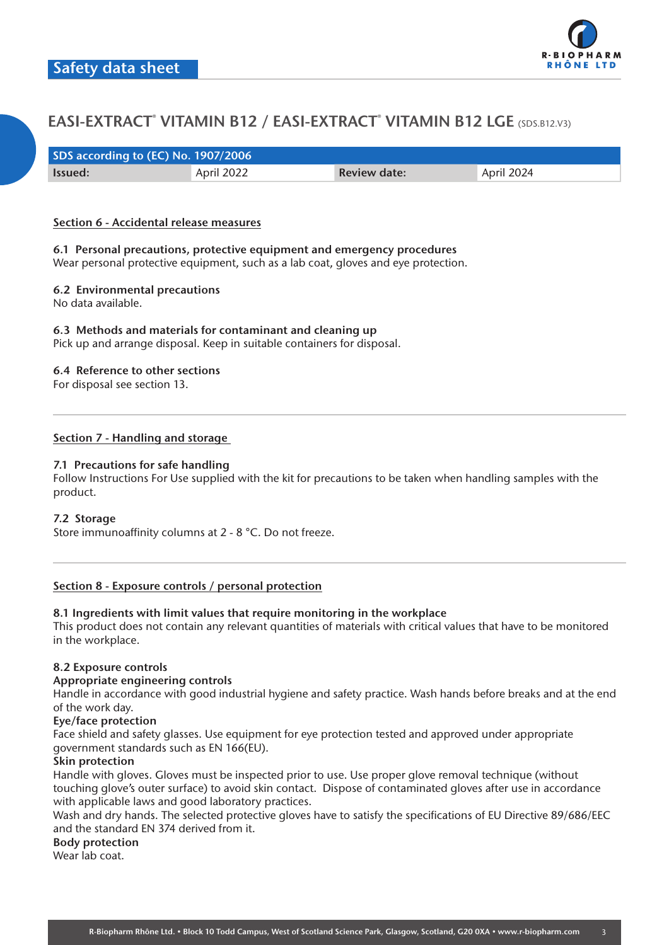

| SDS according to (EC) No. 1907/2006 |            |                     |            |  |
|-------------------------------------|------------|---------------------|------------|--|
| <b>Issued:</b>                      | April 2022 | <b>Review date:</b> | April 2024 |  |

#### **Section 6 - Accidental release measures**

## **6.1 Personal precautions, protective equipment and emergency procedures**

Wear personal protective equipment, such as a lab coat, gloves and eye protection.

## **6.2 Environmental precautions**

No data available.

## **6.3 Methods and materials for contaminant and cleaning up**

Pick up and arrange disposal. Keep in suitable containers for disposal.

## **6.4 Reference to other sections**

For disposal see section 13.

## **Section 7 - Handling and storage**

## **7.1 Precautions for safe handling**

Follow Instructions For Use supplied with the kit for precautions to be taken when handling samples with the product.

## **7.2 Storage**

Store immunoaffinity columns at 2 - 8 °C. Do not freeze.

## **Section 8 - Exposure controls / personal protection**

## **8.1 Ingredients with limit values that require monitoring in the workplace**

This product does not contain any relevant quantities of materials with critical values that have to be monitored in the workplace.

## **8.2 Exposure controls**

#### **Appropriate engineering controls**

Handle in accordance with good industrial hygiene and safety practice. Wash hands before breaks and at the end of the work day.

## **Eye/face protection**

Face shield and safety glasses. Use equipment for eye protection tested and approved under appropriate government standards such as EN 166(EU).

## **Skin protection**

Handle with gloves. Gloves must be inspected prior to use. Use proper glove removal technique (without touching glove's outer surface) to avoid skin contact. Dispose of contaminated gloves after use in accordance with applicable laws and good laboratory practices.

Wash and dry hands. The selected protective gloves have to satisfy the specifications of EU Directive 89/686/EEC and the standard EN 374 derived from it.

## **Body protection**

Wear lab coat.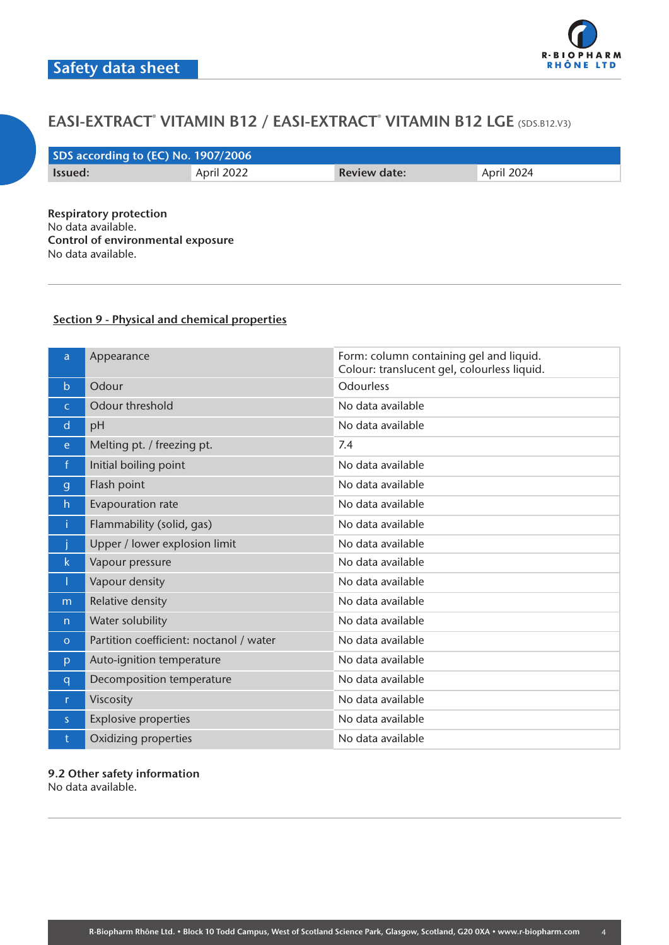

| SDS according to (EC) No. 1907/2006 |            |                     |            |  |
|-------------------------------------|------------|---------------------|------------|--|
| lssued:                             | April 2022 | <b>Review date:</b> | April 2024 |  |
|                                     |            |                     |            |  |

**Respiratory protection** No data available. **Control of environmental exposure** No data available.

## **Section 9 - Physical and chemical properties**

| a            | Appearance                              | Form: column containing gel and liquid.<br>Colour: translucent gel, colourless liquid. |
|--------------|-----------------------------------------|----------------------------------------------------------------------------------------|
| $\mathsf{b}$ | Odour                                   | <b>Odourless</b>                                                                       |
| $\mathsf{C}$ | Odour threshold                         | No data available                                                                      |
| $\mathsf{d}$ | pH                                      | No data available                                                                      |
| e.           | Melting pt. / freezing pt.              | 7.4                                                                                    |
| $\mathsf{f}$ | Initial boiling point                   | No data available                                                                      |
| $\mathbf{g}$ | Flash point                             | No data available                                                                      |
| h            | Evapouration rate                       | No data available                                                                      |
| î.           | Flammability (solid, gas)               | No data available                                                                      |
|              | Upper / lower explosion limit           | No data available                                                                      |
| k.           | Vapour pressure                         | No data available                                                                      |
| Т            | Vapour density                          | No data available                                                                      |
| m            | Relative density                        | No data available                                                                      |
| n            | Water solubility                        | No data available                                                                      |
| $\circ$      | Partition coefficient: noctanol / water | No data available                                                                      |
| p            | Auto-ignition temperature               | No data available                                                                      |
| q            | Decomposition temperature               | No data available                                                                      |
| r.           | Viscosity                               | No data available                                                                      |
| S            | <b>Explosive properties</b>             | No data available                                                                      |
| t            | Oxidizing properties                    | No data available                                                                      |

**9.2 Other safety information** No data available.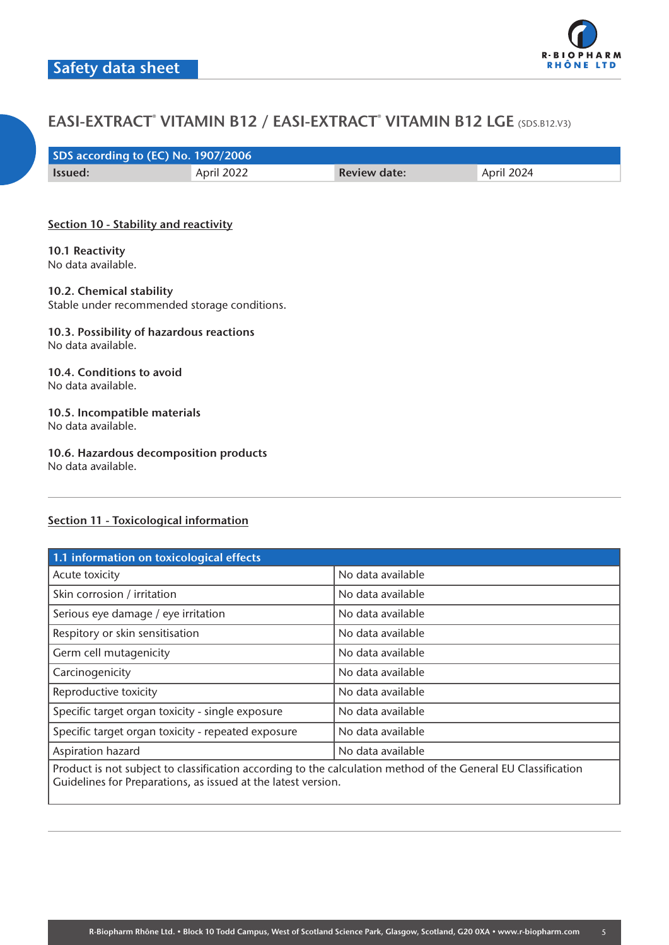

| SDS according to (EC) No. 1907/2006 |            |                     |            |  |
|-------------------------------------|------------|---------------------|------------|--|
| lssued:                             | April 2022 | <b>Review date:</b> | April 2024 |  |

#### **Section 10 - Stability and reactivity**

**10.1 Reactivity** No data available.

## **10.2. Chemical stability**

Stable under recommended storage conditions.

#### **10.3. Possibility of hazardous reactions** No data available.

#### **10.4. Conditions to avoid** No data available.

#### **10.5. Incompatible materials** No data available.

# **10.6. Hazardous decomposition products**

No data available.

## **Section 11 - Toxicological information**

| 1.1 information on toxicological effects                                                                                                                                       |                   |  |  |
|--------------------------------------------------------------------------------------------------------------------------------------------------------------------------------|-------------------|--|--|
| Acute toxicity                                                                                                                                                                 | No data available |  |  |
| Skin corrosion / irritation                                                                                                                                                    | No data available |  |  |
| Serious eye damage / eye irritation                                                                                                                                            | No data available |  |  |
| Respitory or skin sensitisation                                                                                                                                                | No data available |  |  |
| Germ cell mutagenicity                                                                                                                                                         | No data available |  |  |
| Carcinogenicity                                                                                                                                                                | No data available |  |  |
| Reproductive toxicity                                                                                                                                                          | No data available |  |  |
| Specific target organ toxicity - single exposure                                                                                                                               | No data available |  |  |
| Specific target organ toxicity - repeated exposure                                                                                                                             | No data available |  |  |
| Aspiration hazard                                                                                                                                                              | No data available |  |  |
| Product is not subject to classification according to the calculation method of the General EU Classification<br>Guidelines for Preparations, as issued at the latest version. |                   |  |  |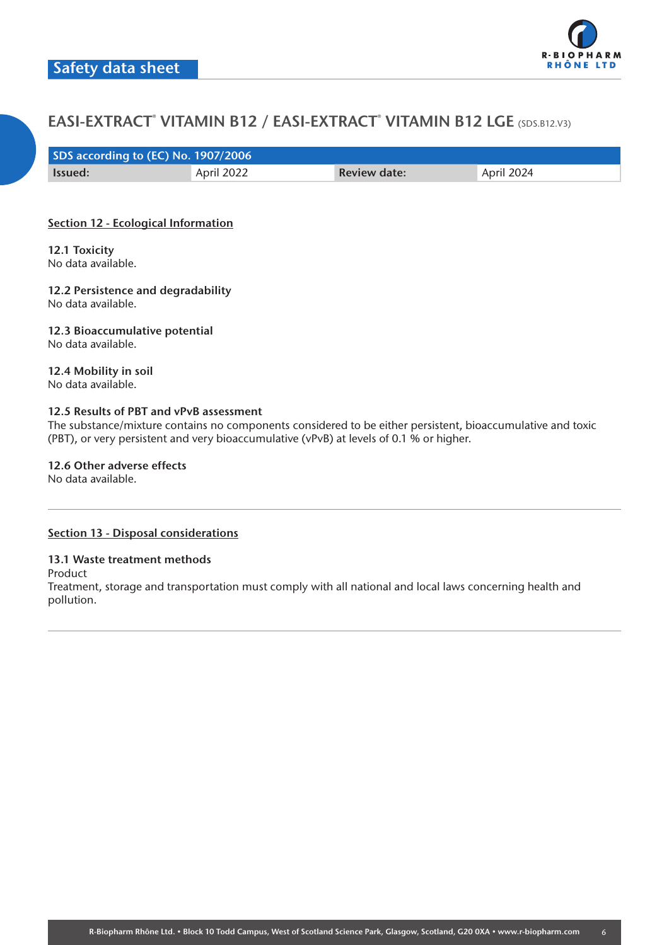

| SDS according to (EC) No. 1907/2006 |            |                     |            |  |
|-------------------------------------|------------|---------------------|------------|--|
| <b>Issued:</b>                      | April 2022 | <b>Review date:</b> | April 2024 |  |

## **Section 12 - Ecological Information**

**12.1 Toxicity** No data available.

**12.2 Persistence and degradability** No data available.

**12.3 Bioaccumulative potential** No data available.

**12.4 Mobility in soil** No data available.

## **12.5 Results of PBT and vPvB assessment**

The substance/mixture contains no components considered to be either persistent, bioaccumulative and toxic (PBT), or very persistent and very bioaccumulative (vPvB) at levels of 0.1 % or higher.

**12.6 Other adverse effects**

No data available.

#### **Section 13 - Disposal considerations**

## **13.1 Waste treatment methods**

Product

Treatment, storage and transportation must comply with all national and local laws concerning health and pollution.